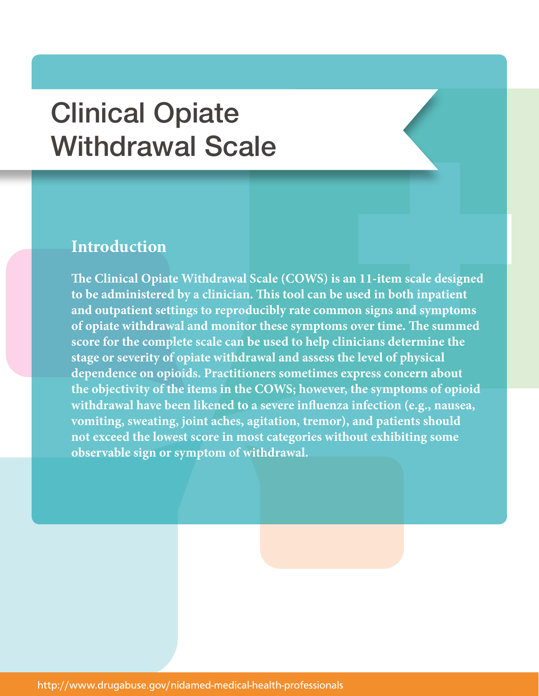## Clinical Opiate Withdrawal Scale

## **Introduction**

**The Clinical Opiate Withdrawal Scale (COWS) is an 11-item scale designed to be administered by a clinician. This tool can be used in both inpatient and outpatient settings to reproducibly rate common signs and symptoms of opiate withdrawal and monitor these symptoms over time. The summed score for the complete scale can be used to help clinicians determine the stage or severity of opiate withdrawal and assess the level of physical dependence on opioids. Practitioners sometimes express concern about the objectivity of the items in the COWS; however, the symptoms of opioid withdrawal have been likened to a severe influenza infection (e.g., nausea, vomiting, sweating, joint aches, agitation, tremor), and patients should not exceed the lowest score in most categories without exhibiting some observable sign or symptom of withdrawal.**